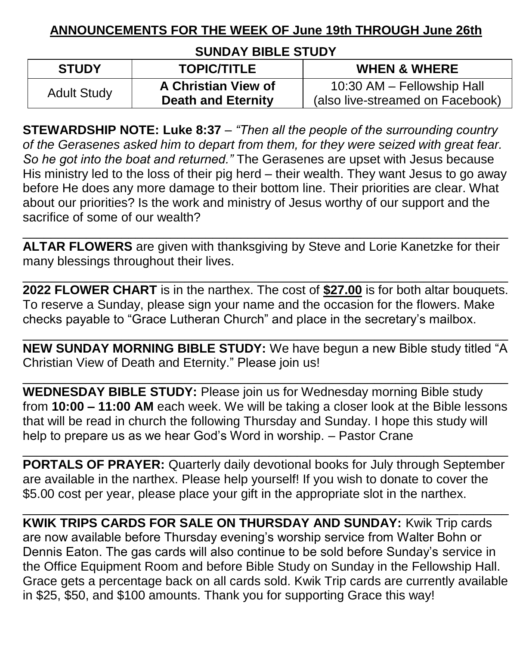## **ANNOUNCEMENTS FOR THE WEEK OF June 19th THROUGH June 26th**

## **SUNDAY BIBLE STUDY**

| <b>STUDY</b>       | <b>TOPIC/TITLE</b>        | <b>WHEN &amp; WHERE</b>          |
|--------------------|---------------------------|----------------------------------|
| <b>Adult Study</b> | A Christian View of       | 10:30 AM - Fellowship Hall       |
|                    | <b>Death and Eternity</b> | (also live-streamed on Facebook) |

**STEWARDSHIP NOTE: Luke 8:37** – *"Then all the people of the surrounding country of the Gerasenes asked him to depart from them, for they were seized with great fear. So he got into the boat and returned."* The Gerasenes are upset with Jesus because His ministry led to the loss of their pig herd – their wealth. They want Jesus to go away before He does any more damage to their bottom line. Their priorities are clear. What about our priorities? Is the work and ministry of Jesus worthy of our support and the sacrifice of some of our wealth?

**ALTAR FLOWERS** are given with thanksgiving by Steve and Lorie Kanetzke for their many blessings throughout their lives.

\_\_\_\_\_\_\_\_\_\_\_\_\_\_\_\_\_\_\_\_\_\_\_\_\_\_\_\_\_\_\_\_\_\_\_\_\_\_\_\_\_\_\_\_\_\_\_\_\_\_\_\_\_\_\_\_\_\_\_\_\_\_\_\_\_\_\_\_\_

\_\_\_\_\_\_\_\_\_\_\_\_\_\_\_\_\_\_\_\_\_\_\_\_\_\_\_\_\_\_\_\_\_\_\_\_\_\_\_\_\_\_\_\_\_\_\_\_\_\_\_\_\_\_\_\_\_\_\_\_\_\_\_\_\_\_\_\_\_

**2022 FLOWER CHART** is in the narthex. The cost of **\$27.00** is for both altar bouquets. To reserve a Sunday, please sign your name and the occasion for the flowers. Make checks payable to "Grace Lutheran Church" and place in the secretary's mailbox.

\_\_\_\_\_\_\_\_\_\_\_\_\_\_\_\_\_\_\_\_\_\_\_\_\_\_\_\_\_\_\_\_\_\_\_\_\_\_\_\_\_\_\_\_\_\_\_\_\_\_\_\_\_\_\_\_\_\_\_\_\_\_\_\_\_\_\_\_\_ **NEW SUNDAY MORNING BIBLE STUDY:** We have begun a new Bible study titled "A Christian View of Death and Eternity." Please join us!

\_\_\_\_\_\_\_\_\_\_\_\_\_\_\_\_\_\_\_\_\_\_\_\_\_\_\_\_\_\_\_\_\_\_\_\_\_\_\_\_\_\_\_\_\_\_\_\_\_\_\_\_\_\_\_\_\_\_\_\_\_\_\_\_\_\_\_\_\_

**WEDNESDAY BIBLE STUDY:** Please join us for Wednesday morning Bible study from **10:00 – 11:00 AM** each week. We will be taking a closer look at the Bible lessons that will be read in church the following Thursday and Sunday. I hope this study will help to prepare us as we hear God's Word in worship. – Pastor Crane

**PORTALS OF PRAYER:** Quarterly daily devotional books for July through September are available in the narthex. Please help yourself! If you wish to donate to cover the \$5.00 cost per year, please place your gift in the appropriate slot in the narthex.

\_\_\_\_\_\_\_\_\_\_\_\_\_\_\_\_\_\_\_\_\_\_\_\_\_\_\_\_\_\_\_\_\_\_\_\_\_\_\_\_\_\_\_\_\_\_\_\_\_\_\_\_\_\_\_\_\_\_\_\_\_\_\_\_\_\_\_\_\_

\_\_\_\_\_\_\_\_\_\_\_\_\_\_\_\_\_\_\_\_\_\_\_\_\_\_\_\_\_\_\_\_\_\_\_\_\_\_\_\_\_\_\_\_\_\_\_\_\_\_\_\_\_\_\_\_\_\_\_\_\_\_\_\_\_\_\_\_\_

**KWIK TRIPS CARDS FOR SALE ON THURSDAY AND SUNDAY:** Kwik Trip cards are now available before Thursday evening's worship service from Walter Bohn or Dennis Eaton. The gas cards will also continue to be sold before Sunday's service in the Office Equipment Room and before Bible Study on Sunday in the Fellowship Hall. Grace gets a percentage back on all cards sold. Kwik Trip cards are currently available in \$25, \$50, and \$100 amounts. Thank you for supporting Grace this way!